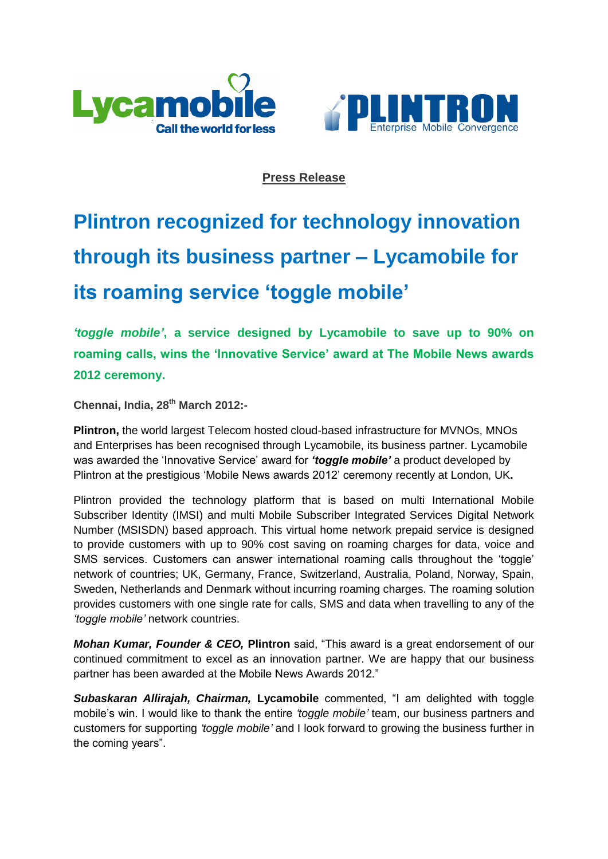



## **Press Release**

## **Plintron recognized for technology innovation through its business partner – Lycamobile for its roaming service 'toggle mobile'**

*'toggle mobile'***, a service designed by Lycamobile to save up to 90% on roaming calls, wins the 'Innovative Service' award at The Mobile News awards 2012 ceremony.**

**Chennai, India, 28th March 2012:-**

**Plintron,** the world largest Telecom hosted cloud-based infrastructure for MVNOs, MNOs and Enterprises has been recognised through Lycamobile, its business partner. Lycamobile was awarded the "Innovative Service" award for *'toggle mobile'* a product developed by Plintron at the prestigious "Mobile News awards 2012" ceremony recently at London, UK**.**

Plintron provided the technology platform that is based on multi International Mobile Subscriber Identity (IMSI) and multi Mobile Subscriber Integrated Services Digital Network Number (MSISDN) based approach. This virtual home network prepaid service is designed to provide customers with up to 90% cost saving on roaming charges for data, voice and SMS services. Customers can answer international roaming calls throughout the "toggle" network of countries; UK, Germany, France, Switzerland, Australia, Poland, Norway, Spain, Sweden, Netherlands and Denmark without incurring roaming charges. The roaming solution provides customers with one single rate for calls, SMS and data when travelling to any of the *'toggle mobile'* network countries.

*Mohan Kumar, Founder & CEO,* **Plintron** said, "This award is a great endorsement of our continued commitment to excel as an innovation partner. We are happy that our business partner has been awarded at the Mobile News Awards 2012."

*Subaskaran Allirajah, Chairman,* **Lycamobile** commented, "I am delighted with toggle mobile"s win. I would like to thank the entire *'toggle mobile'* team, our business partners and customers for supporting *'toggle mobile'* and I look forward to growing the business further in the coming years".